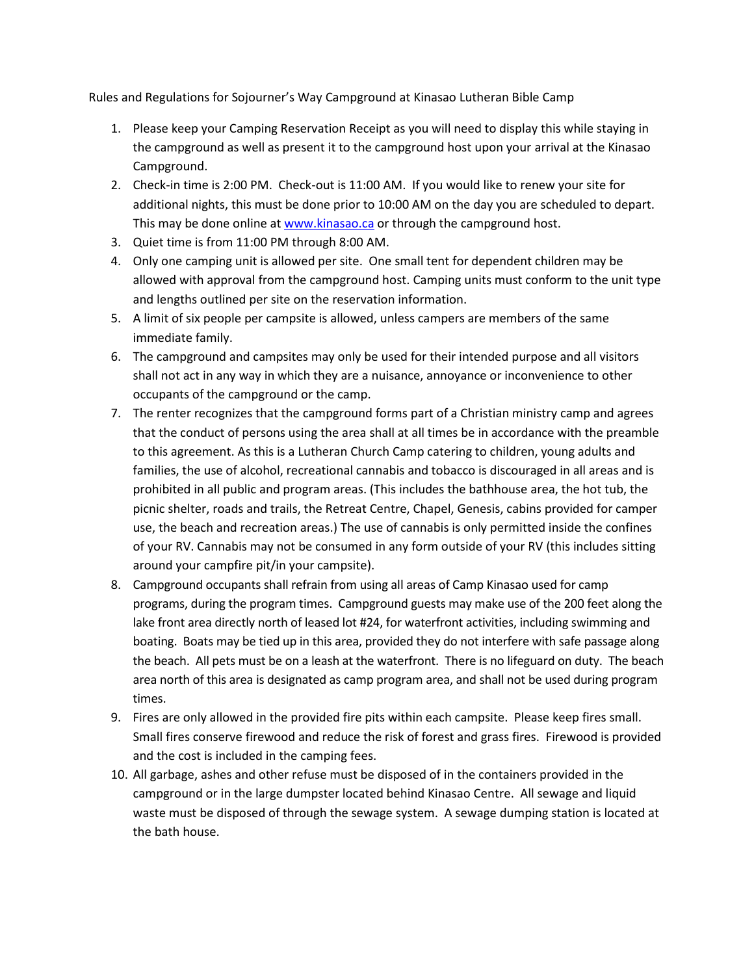Rules and Regulations for Sojourner's Way Campground at Kinasao Lutheran Bible Camp

- 1. Please keep your Camping Reservation Receipt as you will need to display this while staying in the campground as well as present it to the campground host upon your arrival at the Kinasao Campground.
- 2. Check-in time is 2:00 PM. Check-out is 11:00 AM. If you would like to renew your site for additional nights, this must be done prior to 10:00 AM on the day you are scheduled to depart. This may be done online at [www.kinasao.ca](http://www.kinasao.ca/) or through the campground host.
- 3. Quiet time is from 11:00 PM through 8:00 AM.
- 4. Only one camping unit is allowed per site. One small tent for dependent children may be allowed with approval from the campground host. Camping units must conform to the unit type and lengths outlined per site on the reservation information.
- 5. A limit of six people per campsite is allowed, unless campers are members of the same immediate family.
- 6. The campground and campsites may only be used for their intended purpose and all visitors shall not act in any way in which they are a nuisance, annoyance or inconvenience to other occupants of the campground or the camp.
- 7. The renter recognizes that the campground forms part of a Christian ministry camp and agrees that the conduct of persons using the area shall at all times be in accordance with the preamble to this agreement. As this is a Lutheran Church Camp catering to children, young adults and families, the use of alcohol, recreational cannabis and tobacco is discouraged in all areas and is prohibited in all public and program areas. (This includes the bathhouse area, the hot tub, the picnic shelter, roads and trails, the Retreat Centre, Chapel, Genesis, cabins provided for camper use, the beach and recreation areas.) The use of cannabis is only permitted inside the confines of your RV. Cannabis may not be consumed in any form outside of your RV (this includes sitting around your campfire pit/in your campsite).
- 8. Campground occupants shall refrain from using all areas of Camp Kinasao used for camp programs, during the program times. Campground guests may make use of the 200 feet along the lake front area directly north of leased lot #24, for waterfront activities, including swimming and boating. Boats may be tied up in this area, provided they do not interfere with safe passage along the beach. All pets must be on a leash at the waterfront. There is no lifeguard on duty. The beach area north of this area is designated as camp program area, and shall not be used during program times.
- 9. Fires are only allowed in the provided fire pits within each campsite. Please keep fires small. Small fires conserve firewood and reduce the risk of forest and grass fires. Firewood is provided and the cost is included in the camping fees.
- 10. All garbage, ashes and other refuse must be disposed of in the containers provided in the campground or in the large dumpster located behind Kinasao Centre. All sewage and liquid waste must be disposed of through the sewage system. A sewage dumping station is located at the bath house.